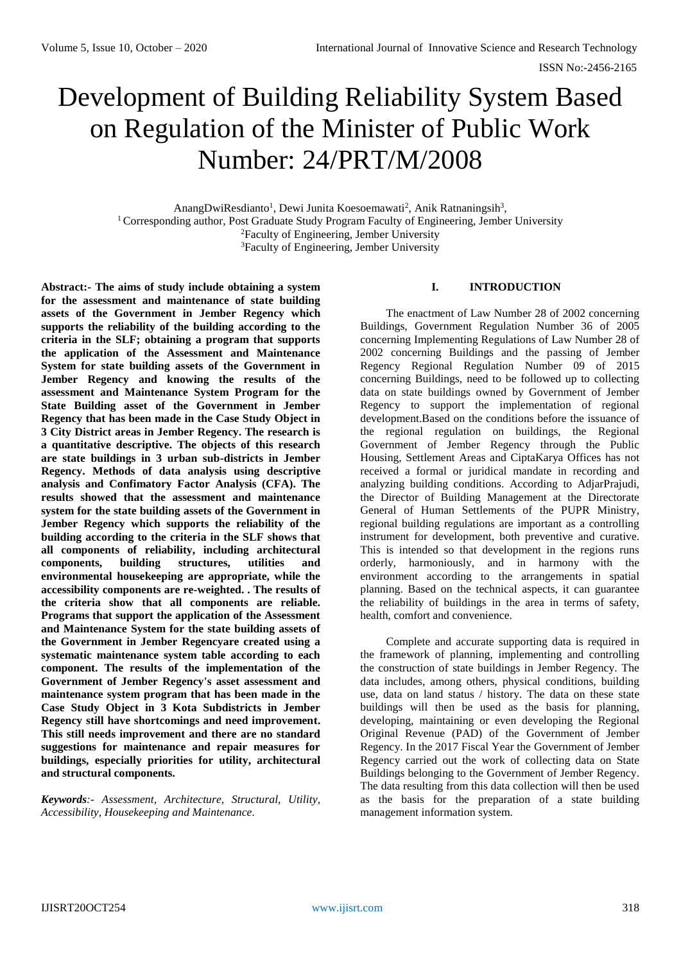# Development of Building Reliability System Based on Regulation of the Minister of Public Work Number: 24/PRT/M/2008

AnangDwiResdianto<sup>1</sup>, Dewi Junita Koesoemawati<sup>2</sup>, Anik Ratnaningsih<sup>3</sup>, <sup>1</sup> Corresponding author, Post Graduate Study Program Faculty of Engineering, Jember University <sup>2</sup>Faculty of Engineering, Jember University <sup>3</sup>Faculty of Engineering, Jember University

**Abstract:- The aims of study include obtaining a system for the assessment and maintenance of state building assets of the Government in Jember Regency which supports the reliability of the building according to the criteria in the SLF; obtaining a program that supports the application of the Assessment and Maintenance System for state building assets of the Government in Jember Regency and knowing the results of the assessment and Maintenance System Program for the State Building asset of the Government in Jember Regency that has been made in the Case Study Object in 3 City District areas in Jember Regency. The research is a quantitative descriptive. The objects of this research are state buildings in 3 urban sub-districts in Jember Regency. Methods of data analysis using descriptive analysis and Confimatory Factor Analysis (CFA). The results showed that the assessment and maintenance system for the state building assets of the Government in Jember Regency which supports the reliability of the building according to the criteria in the SLF shows that all components of reliability, including architectural components, building structures, utilities and environmental housekeeping are appropriate, while the accessibility components are re-weighted. . The results of the criteria show that all components are reliable. Programs that support the application of the Assessment and Maintenance System for the state building assets of the Government in Jember Regencyare created using a systematic maintenance system table according to each component. The results of the implementation of the Government of Jember Regency's asset assessment and maintenance system program that has been made in the Case Study Object in 3 Kota Subdistricts in Jember Regency still have shortcomings and need improvement. This still needs improvement and there are no standard suggestions for maintenance and repair measures for buildings, especially priorities for utility, architectural and structural components.**

*Keywords:- Assessment, Architecture, Structural, Utility, Accessibility, Housekeeping and Maintenance.*

## **I. INTRODUCTION**

The enactment of Law Number 28 of 2002 concerning Buildings, Government Regulation Number 36 of 2005 concerning Implementing Regulations of Law Number 28 of 2002 concerning Buildings and the passing of Jember Regency Regional Regulation Number 09 of 2015 concerning Buildings, need to be followed up to collecting data on state buildings owned by Government of Jember Regency to support the implementation of regional development.Based on the conditions before the issuance of the regional regulation on buildings, the Regional Government of Jember Regency through the Public Housing, Settlement Areas and CiptaKarya Offices has not received a formal or juridical mandate in recording and analyzing building conditions. According to AdjarPrajudi, the Director of Building Management at the Directorate General of Human Settlements of the PUPR Ministry, regional building regulations are important as a controlling instrument for development, both preventive and curative. This is intended so that development in the regions runs orderly, harmoniously, and in harmony with the environment according to the arrangements in spatial planning. Based on the technical aspects, it can guarantee the reliability of buildings in the area in terms of safety, health, comfort and convenience.

Complete and accurate supporting data is required in the framework of planning, implementing and controlling the construction of state buildings in Jember Regency. The data includes, among others, physical conditions, building use, data on land status / history. The data on these state buildings will then be used as the basis for planning, developing, maintaining or even developing the Regional Original Revenue (PAD) of the Government of Jember Regency. In the 2017 Fiscal Year the Government of Jember Regency carried out the work of collecting data on State Buildings belonging to the Government of Jember Regency. The data resulting from this data collection will then be used as the basis for the preparation of a state building management information system.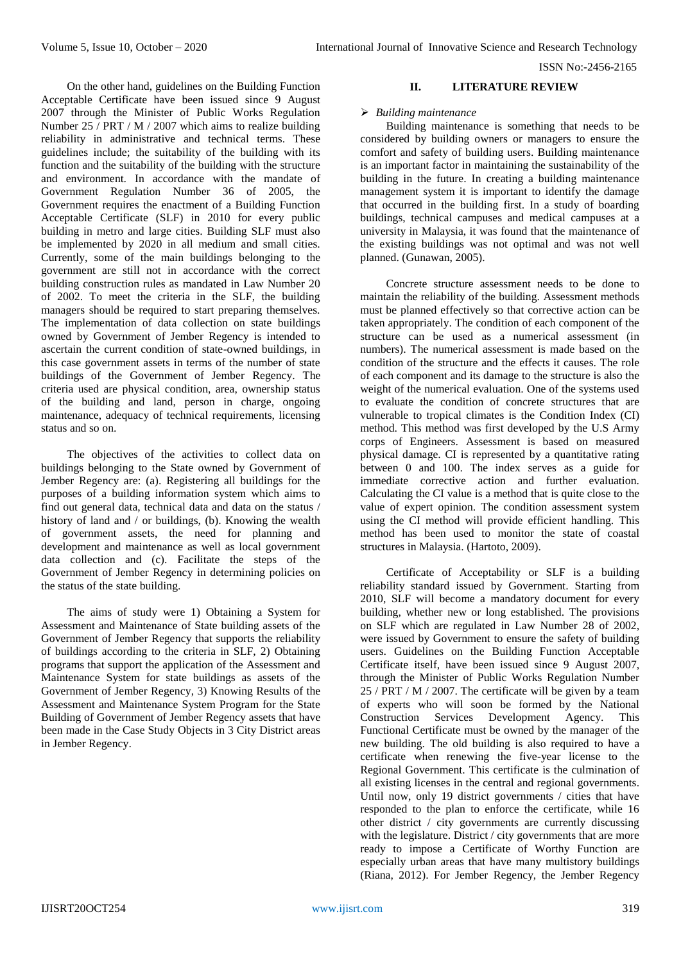ISSN No:-2456-2165

On the other hand, guidelines on the Building Function Acceptable Certificate have been issued since 9 August 2007 through the Minister of Public Works Regulation Number 25 / PRT / M / 2007 which aims to realize building reliability in administrative and technical terms. These guidelines include; the suitability of the building with its function and the suitability of the building with the structure and environment. In accordance with the mandate of Government Regulation Number 36 of 2005, the Government requires the enactment of a Building Function Acceptable Certificate (SLF) in 2010 for every public building in metro and large cities. Building SLF must also be implemented by 2020 in all medium and small cities. Currently, some of the main buildings belonging to the government are still not in accordance with the correct building construction rules as mandated in Law Number 20 of 2002. To meet the criteria in the SLF, the building managers should be required to start preparing themselves. The implementation of data collection on state buildings owned by Government of Jember Regency is intended to ascertain the current condition of state-owned buildings, in this case government assets in terms of the number of state buildings of the Government of Jember Regency. The criteria used are physical condition, area, ownership status of the building and land, person in charge, ongoing maintenance, adequacy of technical requirements, licensing status and so on.

The objectives of the activities to collect data on buildings belonging to the State owned by Government of Jember Regency are: (a). Registering all buildings for the purposes of a building information system which aims to find out general data, technical data and data on the status / history of land and / or buildings, (b). Knowing the wealth of government assets, the need for planning and development and maintenance as well as local government data collection and (c). Facilitate the steps of the Government of Jember Regency in determining policies on the status of the state building.

The aims of study were 1) Obtaining a System for Assessment and Maintenance of State building assets of the Government of Jember Regency that supports the reliability of buildings according to the criteria in SLF, 2) Obtaining programs that support the application of the Assessment and Maintenance System for state buildings as assets of the Government of Jember Regency, 3) Knowing Results of the Assessment and Maintenance System Program for the State Building of Government of Jember Regency assets that have been made in the Case Study Objects in 3 City District areas in Jember Regency.

# **II. LITERATURE REVIEW**

## *Building maintenance*

Building maintenance is something that needs to be considered by building owners or managers to ensure the comfort and safety of building users. Building maintenance is an important factor in maintaining the sustainability of the building in the future. In creating a building maintenance management system it is important to identify the damage that occurred in the building first. In a study of boarding buildings, technical campuses and medical campuses at a university in Malaysia, it was found that the maintenance of the existing buildings was not optimal and was not well planned. (Gunawan, 2005).

Concrete structure assessment needs to be done to maintain the reliability of the building. Assessment methods must be planned effectively so that corrective action can be taken appropriately. The condition of each component of the structure can be used as a numerical assessment (in numbers). The numerical assessment is made based on the condition of the structure and the effects it causes. The role of each component and its damage to the structure is also the weight of the numerical evaluation. One of the systems used to evaluate the condition of concrete structures that are vulnerable to tropical climates is the Condition Index (CI) method. This method was first developed by the U.S Army corps of Engineers. Assessment is based on measured physical damage. CI is represented by a quantitative rating between 0 and 100. The index serves as a guide for immediate corrective action and further evaluation. Calculating the CI value is a method that is quite close to the value of expert opinion. The condition assessment system using the CI method will provide efficient handling. This method has been used to monitor the state of coastal structures in Malaysia. (Hartoto, 2009).

Certificate of Acceptability or SLF is a building reliability standard issued by Government. Starting from 2010, SLF will become a mandatory document for every building, whether new or long established. The provisions on SLF which are regulated in Law Number 28 of 2002, were issued by Government to ensure the safety of building users. Guidelines on the Building Function Acceptable Certificate itself, have been issued since 9 August 2007, through the Minister of Public Works Regulation Number 25 / PRT / M / 2007. The certificate will be given by a team of experts who will soon be formed by the National Construction Services Development Agency. This Functional Certificate must be owned by the manager of the new building. The old building is also required to have a certificate when renewing the five-year license to the Regional Government. This certificate is the culmination of all existing licenses in the central and regional governments. Until now, only 19 district governments / cities that have responded to the plan to enforce the certificate, while 16 other district / city governments are currently discussing with the legislature. District / city governments that are more ready to impose a Certificate of Worthy Function are especially urban areas that have many multistory buildings (Riana, 2012). For Jember Regency, the Jember Regency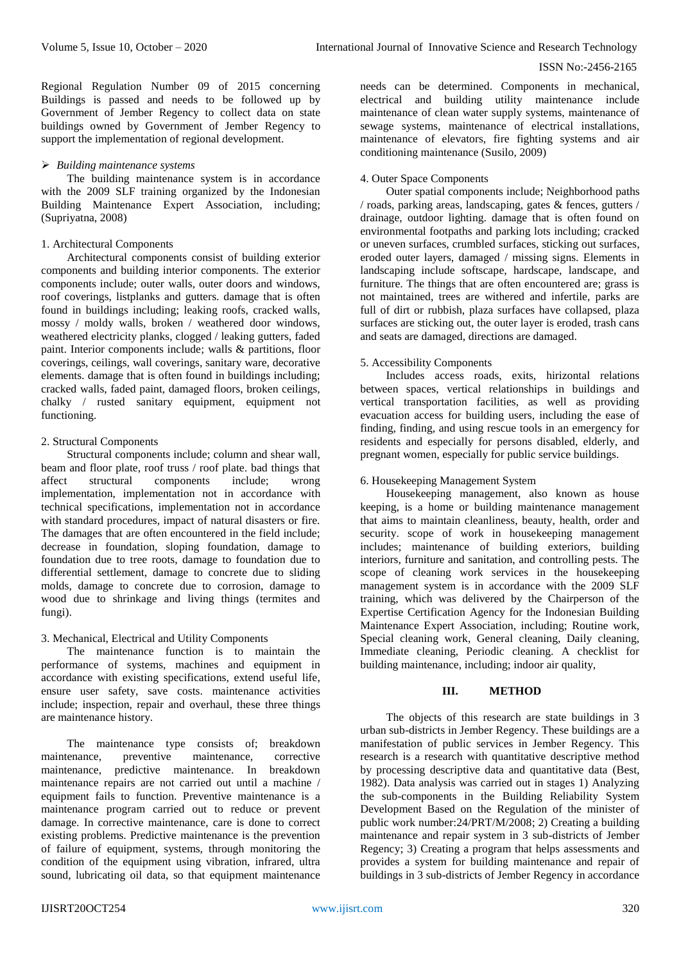#### ISSN No:-2456-2165

Regional Regulation Number 09 of 2015 concerning Buildings is passed and needs to be followed up by Government of Jember Regency to collect data on state buildings owned by Government of Jember Regency to support the implementation of regional development.

## *Building maintenance systems*

The building maintenance system is in accordance with the 2009 SLF training organized by the Indonesian Building Maintenance Expert Association, including; (Supriyatna, 2008)

## 1. Architectural Components

Architectural components consist of building exterior components and building interior components. The exterior components include; outer walls, outer doors and windows, roof coverings, listplanks and gutters. damage that is often found in buildings including; leaking roofs, cracked walls, mossy / moldy walls, broken / weathered door windows, weathered electricity planks, clogged / leaking gutters, faded paint. Interior components include; walls & partitions, floor coverings, ceilings, wall coverings, sanitary ware, decorative elements. damage that is often found in buildings including; cracked walls, faded paint, damaged floors, broken ceilings, chalky / rusted sanitary equipment, equipment not functioning.

# 2. Structural Components

Structural components include; column and shear wall, beam and floor plate, roof truss / roof plate. bad things that affect structural components include; wrong implementation, implementation not in accordance with technical specifications, implementation not in accordance with standard procedures, impact of natural disasters or fire. The damages that are often encountered in the field include; decrease in foundation, sloping foundation, damage to foundation due to tree roots, damage to foundation due to differential settlement, damage to concrete due to sliding molds, damage to concrete due to corrosion, damage to wood due to shrinkage and living things (termites and fungi).

## 3. Mechanical, Electrical and Utility Components

The maintenance function is to maintain the performance of systems, machines and equipment in accordance with existing specifications, extend useful life, ensure user safety, save costs. maintenance activities include; inspection, repair and overhaul, these three things are maintenance history.

The maintenance type consists of; breakdown maintenance, preventive maintenance, corrective maintenance, predictive maintenance. In breakdown maintenance repairs are not carried out until a machine / equipment fails to function. Preventive maintenance is a maintenance program carried out to reduce or prevent damage. In corrective maintenance, care is done to correct existing problems. Predictive maintenance is the prevention of failure of equipment, systems, through monitoring the condition of the equipment using vibration, infrared, ultra sound, lubricating oil data, so that equipment maintenance needs can be determined. Components in mechanical, electrical and building utility maintenance include maintenance of clean water supply systems, maintenance of sewage systems, maintenance of electrical installations, maintenance of elevators, fire fighting systems and air conditioning maintenance (Susilo, 2009)

# 4. Outer Space Components

Outer spatial components include; Neighborhood paths / roads, parking areas, landscaping, gates & fences, gutters / drainage, outdoor lighting. damage that is often found on environmental footpaths and parking lots including; cracked or uneven surfaces, crumbled surfaces, sticking out surfaces, eroded outer layers, damaged / missing signs. Elements in landscaping include softscape, hardscape, landscape, and furniture. The things that are often encountered are; grass is not maintained, trees are withered and infertile, parks are full of dirt or rubbish, plaza surfaces have collapsed, plaza surfaces are sticking out, the outer layer is eroded, trash cans and seats are damaged, directions are damaged.

# 5. Accessibility Components

Includes access roads, exits, hirizontal relations between spaces, vertical relationships in buildings and vertical transportation facilities, as well as providing evacuation access for building users, including the ease of finding, finding, and using rescue tools in an emergency for residents and especially for persons disabled, elderly, and pregnant women, especially for public service buildings.

## 6. Housekeeping Management System

Housekeeping management, also known as house keeping, is a home or building maintenance management that aims to maintain cleanliness, beauty, health, order and security. scope of work in housekeeping management includes; maintenance of building exteriors, building interiors, furniture and sanitation, and controlling pests. The scope of cleaning work services in the housekeeping management system is in accordance with the 2009 SLF training, which was delivered by the Chairperson of the Expertise Certification Agency for the Indonesian Building Maintenance Expert Association, including; Routine work, Special cleaning work, General cleaning, Daily cleaning, Immediate cleaning, Periodic cleaning. A checklist for building maintenance, including; indoor air quality,

## **III. METHOD**

The objects of this research are state buildings in 3 urban sub-districts in Jember Regency. These buildings are a manifestation of public services in Jember Regency. This research is a research with quantitative descriptive method by processing descriptive data and quantitative data (Best*,*  1982). Data analysis was carried out in stages 1) Analyzing the sub-components in the Building Reliability System Development Based on the Regulation of the minister of public work number:24/PRT/M/2008; 2) Creating a building maintenance and repair system in 3 sub-districts of Jember Regency; 3) Creating a program that helps assessments and provides a system for building maintenance and repair of buildings in 3 sub-districts of Jember Regency in accordance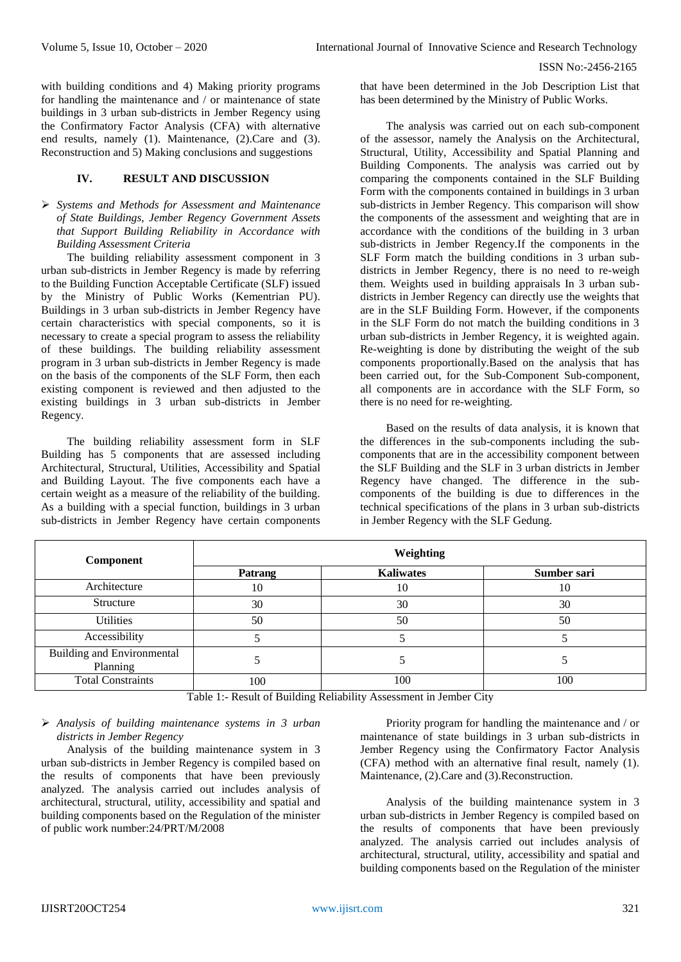with building conditions and 4) Making priority programs for handling the maintenance and / or maintenance of state buildings in 3 urban sub-districts in Jember Regency using the Confirmatory Factor Analysis (CFA) with alternative end results, namely (1). Maintenance, (2).Care and (3). Reconstruction and 5) Making conclusions and suggestions

## **IV. RESULT AND DISCUSSION**

 *Systems and Methods for Assessment and Maintenance of State Buildings, Jember Regency Government Assets that Support Building Reliability in Accordance with Building Assessment Criteria*

The building reliability assessment component in 3 urban sub-districts in Jember Regency is made by referring to the Building Function Acceptable Certificate (SLF) issued by the Ministry of Public Works (Kementrian PU). Buildings in 3 urban sub-districts in Jember Regency have certain characteristics with special components, so it is necessary to create a special program to assess the reliability of these buildings. The building reliability assessment program in 3 urban sub-districts in Jember Regency is made on the basis of the components of the SLF Form, then each existing component is reviewed and then adjusted to the existing buildings in 3 urban sub-districts in Jember Regency.

The building reliability assessment form in SLF Building has 5 components that are assessed including Architectural, Structural, Utilities, Accessibility and Spatial and Building Layout. The five components each have a certain weight as a measure of the reliability of the building. As a building with a special function, buildings in 3 urban sub-districts in Jember Regency have certain components that have been determined in the Job Description List that has been determined by the Ministry of Public Works.

The analysis was carried out on each sub-component of the assessor, namely the Analysis on the Architectural, Structural, Utility, Accessibility and Spatial Planning and Building Components. The analysis was carried out by comparing the components contained in the SLF Building Form with the components contained in buildings in 3 urban sub-districts in Jember Regency. This comparison will show the components of the assessment and weighting that are in accordance with the conditions of the building in 3 urban sub-districts in Jember Regency.If the components in the SLF Form match the building conditions in 3 urban subdistricts in Jember Regency, there is no need to re-weigh them. Weights used in building appraisals In 3 urban subdistricts in Jember Regency can directly use the weights that are in the SLF Building Form. However, if the components in the SLF Form do not match the building conditions in 3 urban sub-districts in Jember Regency, it is weighted again. Re-weighting is done by distributing the weight of the sub components proportionally.Based on the analysis that has been carried out, for the Sub-Component Sub-component, all components are in accordance with the SLF Form, so there is no need for re-weighting.

Based on the results of data analysis, it is known that the differences in the sub-components including the subcomponents that are in the accessibility component between the SLF Building and the SLF in 3 urban districts in Jember Regency have changed. The difference in the subcomponents of the building is due to differences in the technical specifications of the plans in 3 urban sub-districts in Jember Regency with the SLF Gedung.

| Component                                     | Weighting |                  |             |
|-----------------------------------------------|-----------|------------------|-------------|
|                                               | Patrang   | <b>Kaliwates</b> | Sumber sari |
| Architecture                                  | 10        | 10               | 10          |
| Structure                                     | 30        | 30               | 30          |
| Utilities                                     | 50        | 50               | 50          |
| Accessibility                                 |           |                  |             |
| <b>Building and Environmental</b><br>Planning |           |                  |             |
| <b>Total Constraints</b>                      | 100       | 100              | 100         |

Table 1:- Result of Building Reliability Assessment in Jember City

## *Analysis of building maintenance systems in 3 urban districts in Jember Regency*

Analysis of the building maintenance system in 3 urban sub-districts in Jember Regency is compiled based on the results of components that have been previously analyzed. The analysis carried out includes analysis of architectural, structural, utility, accessibility and spatial and building components based on the Regulation of the minister of public work number:24/PRT/M/2008

Priority program for handling the maintenance and / or maintenance of state buildings in 3 urban sub-districts in Jember Regency using the Confirmatory Factor Analysis (CFA) method with an alternative final result, namely (1). Maintenance, (2).Care and (3).Reconstruction.

Analysis of the building maintenance system in 3 urban sub-districts in Jember Regency is compiled based on the results of components that have been previously analyzed. The analysis carried out includes analysis of architectural, structural, utility, accessibility and spatial and building components based on the Regulation of the minister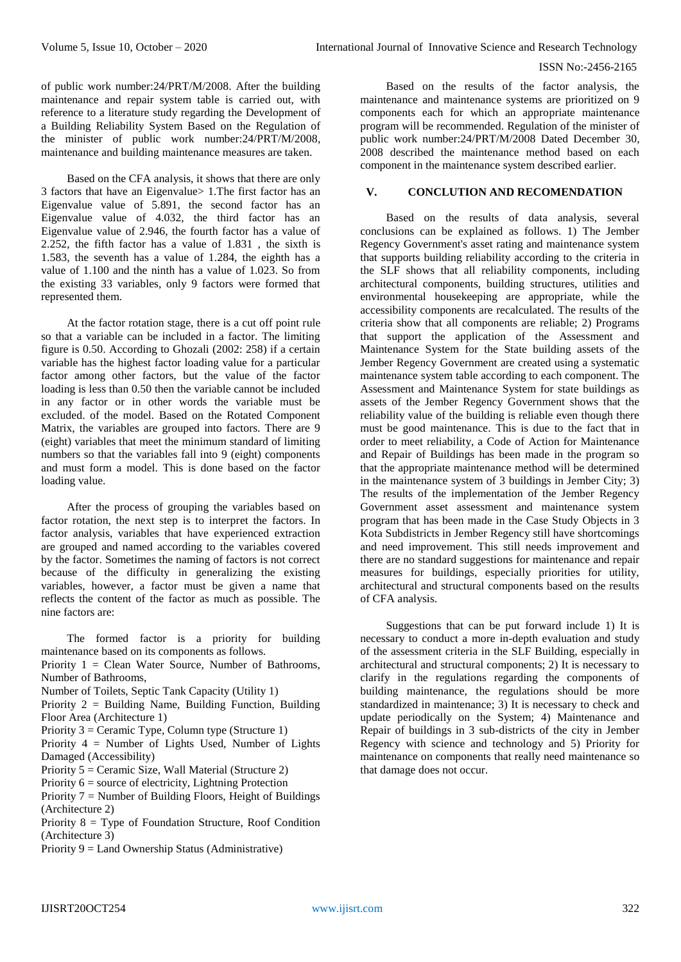#### ISSN No:-2456-2165

of public work number:24/PRT/M/2008. After the building maintenance and repair system table is carried out, with reference to a literature study regarding the Development of a Building Reliability System Based on the Regulation of the minister of public work number:24/PRT/M/2008, maintenance and building maintenance measures are taken.

Based on the CFA analysis, it shows that there are only 3 factors that have an Eigenvalue> 1.The first factor has an Eigenvalue value of 5.891, the second factor has an Eigenvalue value of 4.032, the third factor has an Eigenvalue value of 2.946, the fourth factor has a value of 2.252, the fifth factor has a value of 1.831 , the sixth is 1.583, the seventh has a value of 1.284, the eighth has a value of 1.100 and the ninth has a value of 1.023. So from the existing 33 variables, only 9 factors were formed that represented them.

At the factor rotation stage, there is a cut off point rule so that a variable can be included in a factor. The limiting figure is 0.50. According to Ghozali (2002: 258) if a certain variable has the highest factor loading value for a particular factor among other factors, but the value of the factor loading is less than 0.50 then the variable cannot be included in any factor or in other words the variable must be excluded. of the model. Based on the Rotated Component Matrix, the variables are grouped into factors. There are 9 (eight) variables that meet the minimum standard of limiting numbers so that the variables fall into 9 (eight) components and must form a model. This is done based on the factor loading value.

After the process of grouping the variables based on factor rotation, the next step is to interpret the factors. In factor analysis, variables that have experienced extraction are grouped and named according to the variables covered by the factor. Sometimes the naming of factors is not correct because of the difficulty in generalizing the existing variables, however, a factor must be given a name that reflects the content of the factor as much as possible. The nine factors are:

The formed factor is a priority for building maintenance based on its components as follows.

- Priority  $1 =$  Clean Water Source, Number of Bathrooms, Number of Bathrooms,
- Number of Toilets, Septic Tank Capacity (Utility 1)

Priority 2 = Building Name, Building Function, Building Floor Area (Architecture 1)

Priority 3 = Ceramic Type, Column type (Structure 1)

Priority 4 = Number of Lights Used, Number of Lights Damaged (Accessibility)

- Priority  $5 =$  Ceramic Size, Wall Material (Structure 2)
- Priority  $6 =$  source of electricity, Lightning Protection

Priority  $7 =$  Number of Building Floors, Height of Buildings (Architecture 2)

- Priority 8 = Type of Foundation Structure, Roof Condition (Architecture 3)
- Priority 9 = Land Ownership Status (Administrative)

Based on the results of the factor analysis, the maintenance and maintenance systems are prioritized on 9 components each for which an appropriate maintenance program will be recommended. Regulation of the minister of public work number:24/PRT/M/2008 Dated December 30, 2008 described the maintenance method based on each component in the maintenance system described earlier.

## **V. CONCLUTION AND RECOMENDATION**

Based on the results of data analysis, several conclusions can be explained as follows. 1) The Jember Regency Government's asset rating and maintenance system that supports building reliability according to the criteria in the SLF shows that all reliability components, including architectural components, building structures, utilities and environmental housekeeping are appropriate, while the accessibility components are recalculated. The results of the criteria show that all components are reliable; 2) Programs that support the application of the Assessment and Maintenance System for the State building assets of the Jember Regency Government are created using a systematic maintenance system table according to each component. The Assessment and Maintenance System for state buildings as assets of the Jember Regency Government shows that the reliability value of the building is reliable even though there must be good maintenance. This is due to the fact that in order to meet reliability, a Code of Action for Maintenance and Repair of Buildings has been made in the program so that the appropriate maintenance method will be determined in the maintenance system of 3 buildings in Jember City; 3) The results of the implementation of the Jember Regency Government asset assessment and maintenance system program that has been made in the Case Study Objects in 3 Kota Subdistricts in Jember Regency still have shortcomings and need improvement. This still needs improvement and there are no standard suggestions for maintenance and repair measures for buildings, especially priorities for utility, architectural and structural components based on the results of CFA analysis.

Suggestions that can be put forward include 1) It is necessary to conduct a more in-depth evaluation and study of the assessment criteria in the SLF Building, especially in architectural and structural components; 2) It is necessary to clarify in the regulations regarding the components of building maintenance, the regulations should be more standardized in maintenance; 3) It is necessary to check and update periodically on the System; 4) Maintenance and Repair of buildings in 3 sub-districts of the city in Jember Regency with science and technology and 5) Priority for maintenance on components that really need maintenance so that damage does not occur.